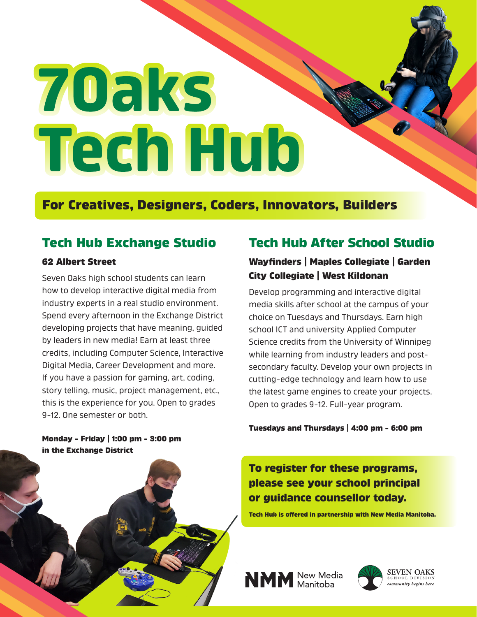# 70aks **Tech Hub**

## **For Creatives, Designers, Coders, Innovators, Builders**

## **Tech Hub Exchange Studio**

#### **62 Albert Street**

Seven Oaks high school students can learn how to develop interactive digital media from industry experts in a real studio environment. Spend every afternoon in the Exchange District developing projects that have meaning, guided by leaders in new media! Earn at least three credits, including Computer Science, Interactive Digital Media, Career Development and more. If you have a passion for gaming, art, coding, story telling, music, project management, etc., this is the experience for you. Open to grades 9-12. One semester or both.

**Monday - Friday | 1:00 pm - 3:00 pm in the Exchange District**

## **Tech Hub After School Studio**

### **Wayfinders | Maples Collegiate | Garden City Collegiate | West Kildonan**

Develop programming and interactive digital media skills after school at the campus of your choice on Tuesdays and Thursdays. Earn high school ICT and university Applied Computer Science credits from the University of Winnipeg while learning from industry leaders and postsecondary faculty. Develop your own projects in cutting-edge technology and learn how to use the latest game engines to create your projects. Open to grades 9-12. Full-year program.

#### **Tuesdays and Thursdays | 4:00 pm - 6:00 pm**

**To register for these programs, please see your school principal or guidance counsellor today.**

**Tech Hub is offered in partnership with New Media Manitoba.**